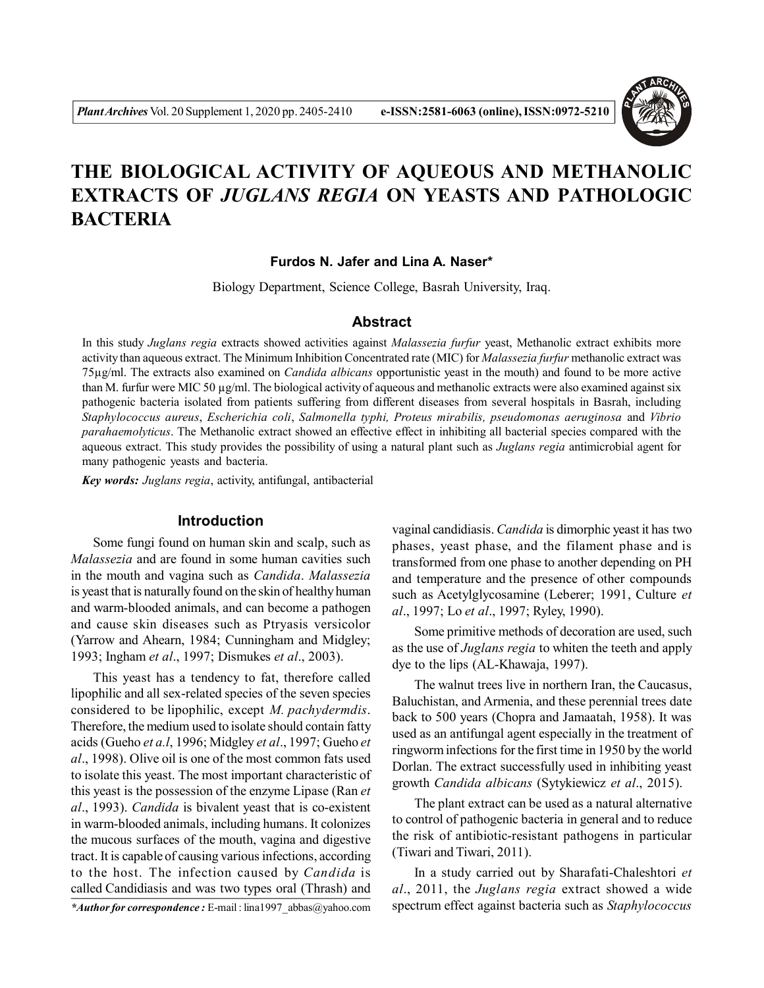

# **THE BIOLOGICAL ACTIVITY OF AQUEOUS AND METHANOLIC EXTRACTS OF** *JUGLANS REGIA* **ON YEASTS AND PATHOLOGIC BACTERIA**

**Furdos N. Jafer and Lina A. Naser\***

Biology Department, Science College, Basrah University, Iraq.

# **Abstract**

In this study *Juglans regia* extracts showed activities against *Malassezia furfur* yeast, Methanolic extract exhibits more activity than aqueous extract. The Minimum Inhibition Concentrated rate (MIC) for *Malassezia furfur* methanolic extract was 75µg/ml. The extracts also examined on *Candida albicans* opportunistic yeast in the mouth) and found to be more active than M. furfur were MIC 50 µg/ml. The biological activity of aqueous and methanolic extracts were also examined against six pathogenic bacteria isolated from patients suffering from different diseases from several hospitals in Basrah, including *Staphylococcus aureus*, *Escherichia coli*, *Salmonella typhi, Proteus mirabilis, pseudomonas aeruginosa* and *Vibrio parahaemolyticus*. The Methanolic extract showed an effective effect in inhibiting all bacterial species compared with the aqueous extract. This study provides the possibility of using a natural plant such as *Juglans regia* antimicrobial agent for many pathogenic yeasts and bacteria.

*Key words: Juglans regia*, activity, antifungal, antibacterial

## **Introduction**

Some fungi found on human skin and scalp, such as *Malassezia* and are found in some human cavities such in the mouth and vagina such as *Candida*. *Malassezia* is yeast that is naturally found on the skin of healthy human and warm-blooded animals, and can become a pathogen and cause skin diseases such as Ptryasis versicolor (Yarrow and Ahearn, 1984; Cunningham and Midgley; 1993; Ingham *et al*., 1997; Dismukes *et al*., 2003).

This yeast has a tendency to fat, therefore called lipophilic and all sex-related species of the seven species considered to be lipophilic, except *M. pachydermdis*. Therefore, the medium used to isolate should contain fatty acids (Gueho *et a.l*, 1996; Midgley *et al*., 1997; Gueho *et al*., 1998). Olive oil is one of the most common fats used to isolate this yeast. The most important characteristic of this yeast is the possession of the enzyme Lipase (Ran *et al*., 1993). *Candida* is bivalent yeast that is co-existent in warm-blooded animals, including humans. It colonizes the mucous surfaces of the mouth, vagina and digestive tract. It is capable of causing various infections, according to the host. The infection caused by *Candida* is called Candidiasis and was two types oral (Thrash) and

*\*Author for correspondence :* E-mail : lina1997\_abbas@yahoo.com

vaginal candidiasis. *Candida* is dimorphic yeast it has two phases, yeast phase, and the filament phase and is transformed from one phase to another depending on PH and temperature and the presence of other compounds such as Acetylglycosamine (Leberer; 1991, Culture *et al*., 1997; Lo *et al*., 1997; Ryley, 1990).

Some primitive methods of decoration are used, such as the use of *Juglans regia* to whiten the teeth and apply dye to the lips (AL-Khawaja, 1997).

The walnut trees live in northern Iran, the Caucasus, Baluchistan, and Armenia, and these perennial trees date back to 500 years (Chopra and Jamaatah, 1958). It was used as an antifungal agent especially in the treatment of ringworm infections for the first time in 1950 by the world Dorlan. The extract successfully used in inhibiting yeast growth *Candida albicans* (Sytykiewicz *et al*., 2015).

The plant extract can be used as a natural alternative to control of pathogenic bacteria in general and to reduce the risk of antibiotic-resistant pathogens in particular (Tiwari and Tiwari, 2011).

In a study carried out by Sharafati-Chaleshtori *et al*., 2011, the *Juglans regia* extract showed a wide spectrum effect against bacteria such as *Staphylococcus*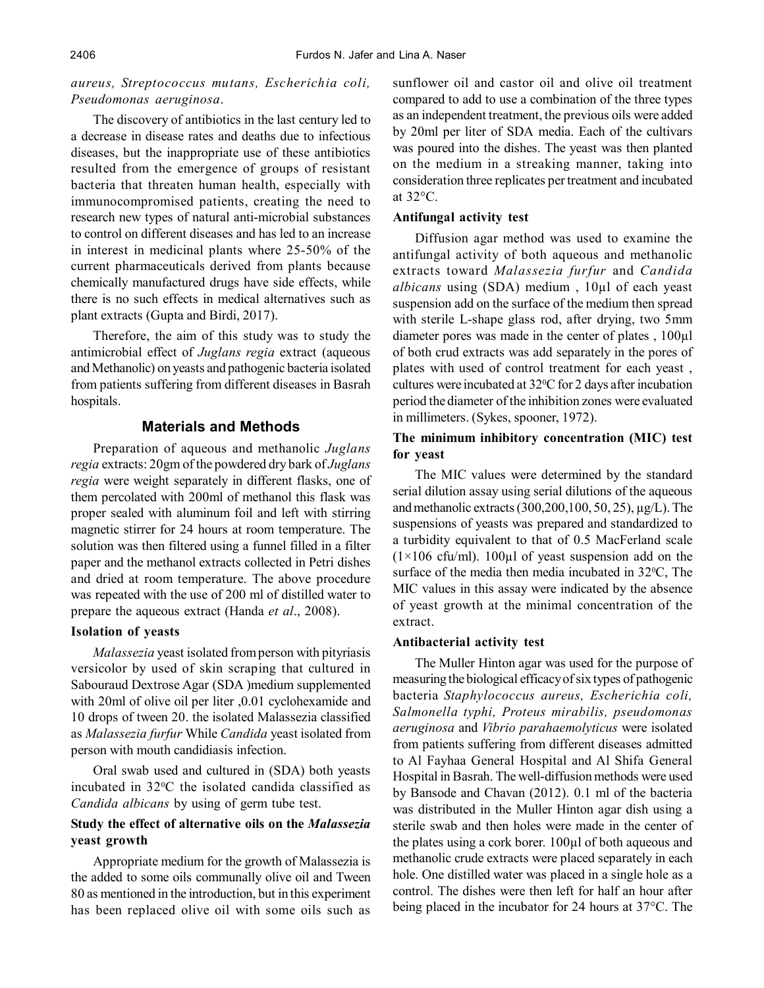# *aureus, Streptococcus mutans, Escherichia coli, Pseudomonas aeruginosa*.

The discovery of antibiotics in the last century led to a decrease in disease rates and deaths due to infectious diseases, but the inappropriate use of these antibiotics resulted from the emergence of groups of resistant bacteria that threaten human health, especially with immunocompromised patients, creating the need to research new types of natural anti-microbial substances to control on different diseases and has led to an increase in interest in medicinal plants where 25-50% of the current pharmaceuticals derived from plants because chemically manufactured drugs have side effects, while there is no such effects in medical alternatives such as plant extracts (Gupta and Birdi, 2017).

Therefore, the aim of this study was to study the antimicrobial effect of *Juglans regia* extract (aqueous and Methanolic) on yeasts and pathogenic bacteria isolated from patients suffering from different diseases in Basrah hospitals.

## **Materials and Methods**

Preparation of aqueous and methanolic *Juglans regia* extracts: 20gm of the powdered dry bark of *Juglans regia* were weight separately in different flasks, one of them percolated with 200ml of methanol this flask was proper sealed with aluminum foil and left with stirring magnetic stirrer for 24 hours at room temperature. The solution was then filtered using a funnel filled in a filter paper and the methanol extracts collected in Petri dishes and dried at room temperature. The above procedure was repeated with the use of 200 ml of distilled water to prepare the aqueous extract (Handa *et al*., 2008).

## **Isolation of yeasts**

*Malassezia* yeast isolated from person with pityriasis versicolor by used of skin scraping that cultured in Sabouraud Dextrose Agar (SDA )medium supplemented with 20ml of olive oil per liter ,0.01 cyclohexamide and 10 drops of tween 20. the isolated Malassezia classified as *Malassezia furfur* While *Candida* yeast isolated from person with mouth candidiasis infection.

Oral swab used and cultured in (SDA) both yeasts incubated in 32<sup>0</sup>C the isolated candida classified as *Candida albicans* by using of germ tube test.

# **Study the effect of alternative oils on the** *Malassezia* **yeast growth**

Appropriate medium for the growth of Malassezia is the added to some oils communally olive oil and Tween 80 as mentioned in the introduction, but in this experiment has been replaced olive oil with some oils such as sunflower oil and castor oil and olive oil treatment compared to add to use a combination of the three types as an independent treatment, the previous oils were added by 20ml per liter of SDA media. Each of the cultivars was poured into the dishes. The yeast was then planted on the medium in a streaking manner, taking into consideration three replicates per treatment and incubated at 32°C.

# **Antifungal activity test**

Diffusion agar method was used to examine the antifungal activity of both aqueous and methanolic extracts toward *Malassezia furfur* and *Candida albicans* using (SDA) medium , 10µl of each yeast suspension add on the surface of the medium then spread with sterile L-shape glass rod, after drying, two 5mm diameter pores was made in the center of plates , 100µl of both crud extracts was add separately in the pores of plates with used of control treatment for each yeast , cultures were incubated at  $32^{\circ}$ C for 2 days after incubation period the diameter of the inhibition zones were evaluated in millimeters. (Sykes, spooner, 1972).

# **The minimum inhibitory concentration (MIC) test for yeast**

The MIC values were determined by the standard serial dilution assay using serial dilutions of the aqueous and methanolic extracts (300,200,100, 50, 25), µg/L). The suspensions of yeasts was prepared and standardized to a turbidity equivalent to that of 0.5 MacFerland scale  $(1\times106 \text{ cftu/ml})$ . 100µl of yeast suspension add on the surface of the media then media incubated in 32<sup>o</sup>C, The MIC values in this assay were indicated by the absence of yeast growth at the minimal concentration of the extract.

# **Antibacterial activity test**

The Muller Hinton agar was used for the purpose of measuring the biological efficacy of six types of pathogenic bacteria *Staphylococcus aureus, Escherichia coli, Salmonella typhi, Proteus mirabilis, pseudomonas aeruginosa* and *Vibrio parahaemolyticus* were isolated from patients suffering from different diseases admitted to Al Fayhaa General Hospital and Al Shifa General Hospital in Basrah. The well-diffusion methods were used by Bansode and Chavan (2012). 0.1 ml of the bacteria was distributed in the Muller Hinton agar dish using a sterile swab and then holes were made in the center of the plates using a cork borer. 100µl of both aqueous and methanolic crude extracts were placed separately in each hole. One distilled water was placed in a single hole as a control. The dishes were then left for half an hour after being placed in the incubator for 24 hours at 37°C. The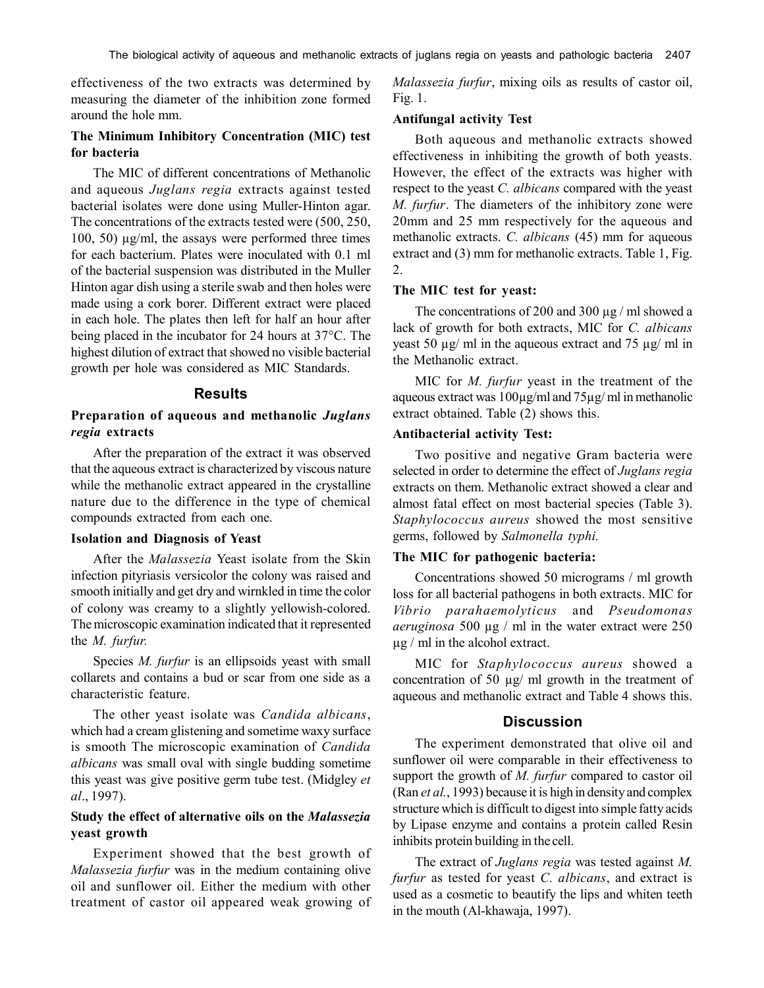effectiveness of the two extracts was determined by measuring the diameter of the inhibition zone formed around the hole mm.

# **The Minimum Inhibitory Concentration (MIC) test for bacteria**

The MIC of different concentrations of Methanolic and aqueous *Juglans regia* extracts against tested bacterial isolates were done using Muller-Hinton agar. The concentrations of the extracts tested were (500, 250, 100, 50) µg/ml, the assays were performed three times for each bacterium. Plates were inoculated with 0.1 ml of the bacterial suspension was distributed in the Muller Hinton agar dish using a sterile swab and then holes were made using a cork borer. Different extract were placed in each hole. The plates then left for half an hour after being placed in the incubator for 24 hours at 37°C. The highest dilution of extract that showed no visible bacterial growth per hole was considered as MIC Standards.

#### **Results**

## **Preparation of aqueous and methanolic** *Juglans regia* **extracts**

After the preparation of the extract it was observed that the aqueous extract is characterized by viscous nature while the methanolic extract appeared in the crystalline nature due to the difference in the type of chemical compounds extracted from each one.

## **Isolation and Diagnosis of Yeast**

After the *Malassezia* Yeast isolate from the Skin infection pityriasis versicolor the colony was raised and smooth initially and get dry and wirnkled in time the color of colony was creamy to a slightly yellowish-colored. The microscopic examination indicated that it represented the *M. furfur.*

Species *M. furfur* is an ellipsoids yeast with small collarets and contains a bud or scar from one side as a characteristic feature.

The other yeast isolate was *Candida albicans*, which had a cream glistening and sometime waxy surface is smooth The microscopic examination of *Candida albicans* was small oval with single budding sometime this yeast was give positive germ tube test. (Midgley *et al*., 1997).

# **Study the effect of alternative oils on the** *Malassezia* **yeast growth**

Experiment showed that the best growth of *Malassezia furfur* was in the medium containing olive oil and sunflower oil. Either the medium with other treatment of castor oil appeared weak growing of *Malassezia furfur*, mixing oils as results of castor oil, Fig. 1.

#### **Antifungal activity Test**

Both aqueous and methanolic extracts showed effectiveness in inhibiting the growth of both yeasts. However, the effect of the extracts was higher with respect to the yeast *C. albicans* compared with the yeast *M. furfur*. The diameters of the inhibitory zone were 20mm and 25 mm respectively for the aqueous and methanolic extracts. *C. albicans* (45) mm for aqueous extract and (3) mm for methanolic extracts. Table 1, Fig. 2.

#### **The MIC test for yeast:**

The concentrations of 200 and 300  $\mu$ g / ml showed a lack of growth for both extracts, MIC for *C. albicans* yeast 50 µg/ ml in the aqueous extract and 75 µg/ ml in the Methanolic extract.

MIC for *M. furfur* yeast in the treatment of the aqueous extract was 100µg/ml and 75µg/ ml in methanolic extract obtained. Table (2) shows this.

#### **Antibacterial activity Test:**

Two positive and negative Gram bacteria were selected in order to determine the effect of *Juglans regia* extracts on them. Methanolic extract showed a clear and almost fatal effect on most bacterial species (Table 3). *Staphylococcus aureus* showed the most sensitive germs, followed by *Salmonella typhi.*

#### **The MIC for pathogenic bacteria:**

Concentrations showed 50 micrograms / ml growth loss for all bacterial pathogens in both extracts. MIC for *Vibrio parahaemolyticus* and *Pseudomonas aeruginosa* 500 µg / ml in the water extract were 250  $\mu$ g / ml in the alcohol extract.

MIC for *Staphylococcus aureus* showed a concentration of 50 µg/ ml growth in the treatment of aqueous and methanolic extract and Table 4 shows this.

#### **Discussion**

The experiment demonstrated that olive oil and sunflower oil were comparable in their effectiveness to support the growth of *M. furfur* compared to castor oil (Ran *et al.*, 1993) because it is high in density and complex structure which is difficult to digest into simple fatty acids by Lipase enzyme and contains a protein called Resin inhibits protein building in the cell.

The extract of *Juglans regia* was tested against *M. furfur* as tested for yeast *C. albicans*, and extract is used as a cosmetic to beautify the lips and whiten teeth in the mouth (Al-khawaja, 1997).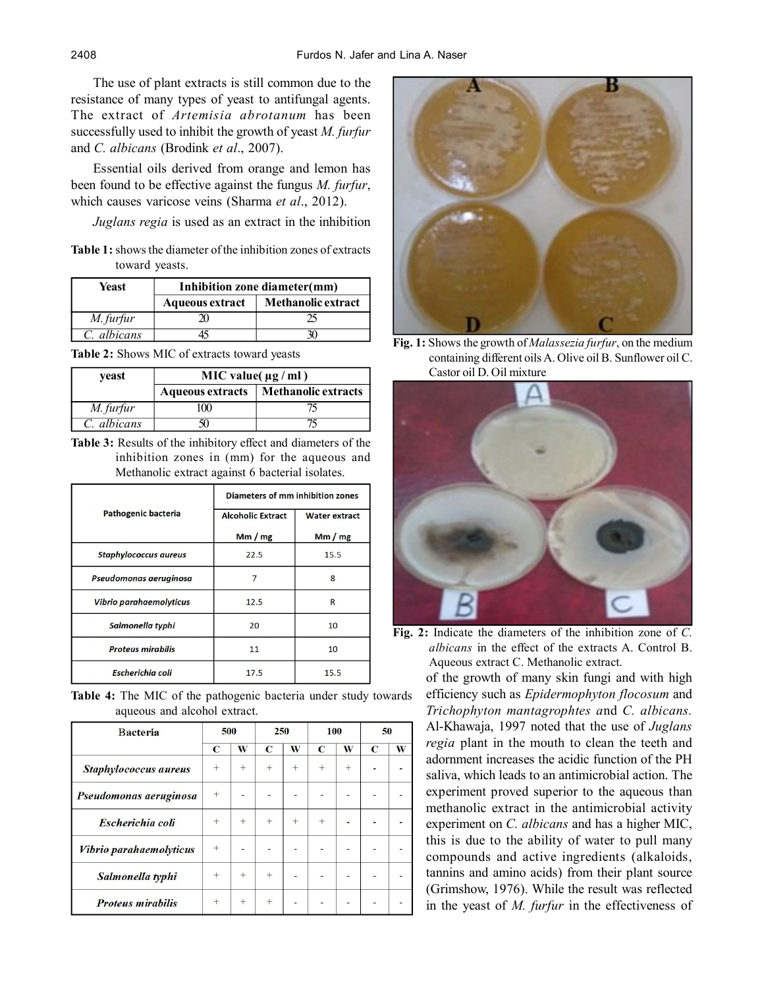The use of plant extracts is still common due to the resistance of many types of yeast to antifungal agents. The extract of *Artemisia abrotanum* has been successfully used to inhibit the growth of yeast *M. furfur* and *C. albicans* (Brodink *et al*., 2007).

Essential oils derived from orange and lemon has been found to be effective against the fungus *M. furfur*, which causes varicose veins (Sharma *et al*., 2012).

*Juglans regia* is used as an extract in the inhibition

**Table 1:** shows the diameter of the inhibition zones of extracts toward yeasts.

| Yeast       | Inhibition zone diameter(mm) |                           |  |  |  |  |
|-------------|------------------------------|---------------------------|--|--|--|--|
|             | <b>Aqueous extract</b>       | <b>Methanolic extract</b> |  |  |  |  |
| M. furfur   |                              |                           |  |  |  |  |
| C. albicans |                              |                           |  |  |  |  |

**Table 2:** Shows MIC of extracts toward yeasts

| yeast       | MIC value( $\mu$ g / ml) |                     |  |  |  |  |
|-------------|--------------------------|---------------------|--|--|--|--|
|             | <b>Aqueous extracts</b>  | Methanolic extracts |  |  |  |  |
| M. furfur   | $\Omega$                 |                     |  |  |  |  |
| C. albicans |                          |                     |  |  |  |  |

**Table 3:** Results of the inhibitory effect and diameters of the inhibition zones in (mm) for the aqueous and Methanolic extract against 6 bacterial isolates.

|                              | Diameters of mm inhibition zones |                      |  |  |  |
|------------------------------|----------------------------------|----------------------|--|--|--|
| Pathogenic bacteria          | <b>Alcoholic Extract</b>         | <b>Water extract</b> |  |  |  |
|                              | Mm/mg                            | Mm/mg                |  |  |  |
| <b>Staphylococcus aureus</b> | 22.5                             | 15.5                 |  |  |  |
| Pseudomonas aeruginosa       | 7                                | 8                    |  |  |  |
| Vibrio parahaemolyticus      | 12.5                             | R                    |  |  |  |
| Salmonella typhi             | 20                               | 10                   |  |  |  |
| <b>Proteus mirabilis</b>     | 11                               | 10                   |  |  |  |
| <b>Escherichia coli</b>      | 17.5                             | 15.5                 |  |  |  |

**Table 4:** The MIC of the pathogenic bacteria under study towards aqueous and alcohol extract.

| <b>Bacteria</b>          | 500         |        | 250         |     | 100         |        | 50          |   |
|--------------------------|-------------|--------|-------------|-----|-------------|--------|-------------|---|
|                          | $\mathbf C$ | W      | $\mathbf C$ | W   | $\mathbf C$ | W      | $\mathbf C$ | W |
| Staphylococcus aureus    | $^{+}$      | $^{+}$ | $\pm$       | $+$ | $+$         | $^{+}$ |             |   |
| Pseudomonas aeruginosa   | $^{+}$      |        |             |     |             |        |             |   |
| Escherichia coli         | $^{+}$      | $^{+}$ | $+$         | $+$ | $+$         |        |             |   |
| Vibrio parahaemolyticus  | $^{+}$      |        |             |     |             |        |             |   |
| Salmonella typhi         | $^{+}$      | $+$    | $+$         |     |             |        |             |   |
| <b>Proteus mirabilis</b> | $+$         | $+$    | $+$         |     |             |        |             |   |



**Fig. 1:** Shows the growth of *Malassezia furfur*, on the medium containing different oils A. Olive oil B. Sunflower oil C. Castor oil D. Oil mixture



**Fig. 2:** Indicate the diameters of the inhibition zone of *C. albicans* in the effect of the extracts A. Control B. Aqueous extract C. Methanolic extract.

of the growth of many skin fungi and with high efficiency such as *Epidermophyton flocosum* and *Trichophyton mantagrophtes a*nd *C. albicans.* Al-Khawaja, 1997 noted that the use of *Juglans regia* plant in the mouth to clean the teeth and adornment increases the acidic function of the PH saliva, which leads to an antimicrobial action. The experiment proved superior to the aqueous than methanolic extract in the antimicrobial activity experiment on *C. albicans* and has a higher MIC, this is due to the ability of water to pull many compounds and active ingredients (alkaloids, tannins and amino acids) from their plant source (Grimshow, 1976). While the result was reflected in the yeast of *M. furfur* in the effectiveness of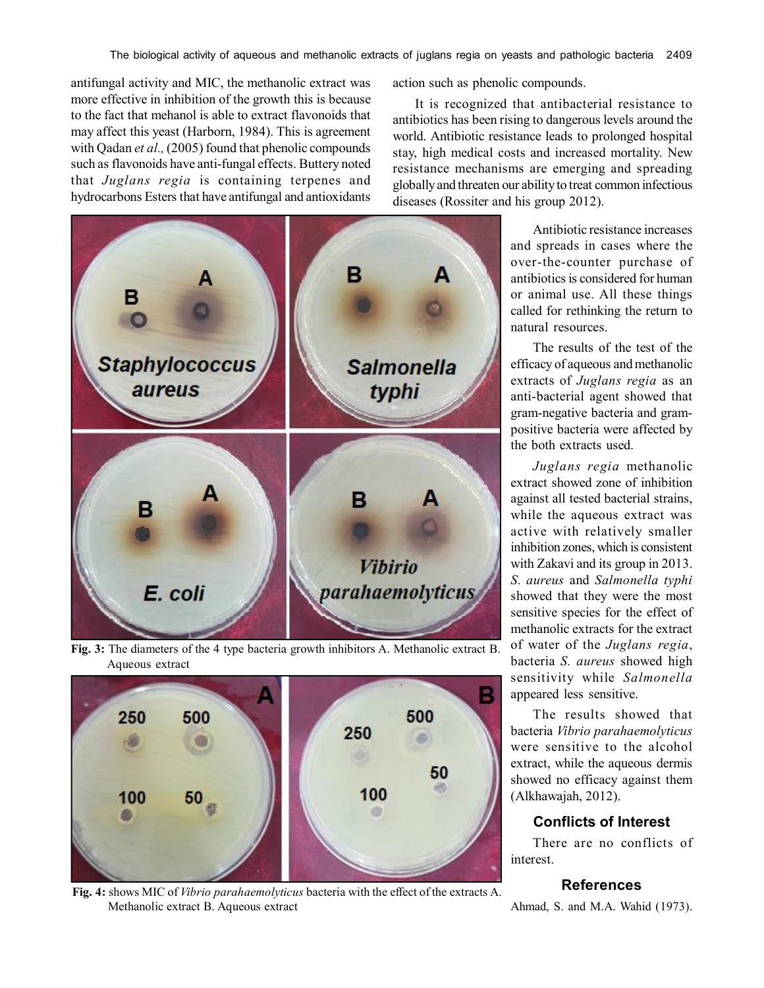antifungal activity and MIC, the methanolic extract was more effective in inhibition of the growth this is because to the fact that mehanol is able to extract flavonoids that may affect this yeast (Harborn, 1984). This is agreement with Qadan *et al.,* (2005) found that phenolic compounds such as flavonoids have anti-fungal effects. Buttery noted that *Juglans regia* is containing terpenes and hydrocarbons Esters that have antifungal and antioxidants



**Fig. 3:** The diameters of the 4 type bacteria growth inhibitors A. Methanolic extract B. Aqueous extract



**Fig. 4:** shows MIC of *Vibrio parahaemolyticus* bacteria with the effect of the extracts A. Methanolic extract B. Aqueous extract

action such as phenolic compounds.

It is recognized that antibacterial resistance to antibiotics has been rising to dangerous levels around the world. Antibiotic resistance leads to prolonged hospital stay, high medical costs and increased mortality. New resistance mechanisms are emerging and spreading globally and threaten our ability to treat common infectious diseases (Rossiter and his group 2012).

> Antibiotic resistance increases and spreads in cases where the over-the-counter purchase of antibiotics is considered for human or animal use. All these things called for rethinking the return to natural resources.

> The results of the test of the efficacy of aqueous and methanolic extracts of *Juglans regia* as an anti-bacterial agent showed that gram-negative bacteria and grampositive bacteria were affected by the both extracts used.

> *Juglans regia* methanolic extract showed zone of inhibition against all tested bacterial strains, while the aqueous extract was active with relatively smaller inhibition zones, which is consistent with Zakavi and its group in 2013. *S. aureus* and *Salmonella typhi* showed that they were the most sensitive species for the effect of methanolic extracts for the extract of water of the *Juglans regia*, bacteria *S. aureus* showed high sensitivity while *Salmonella* appeared less sensitive.

> The results showed that bacteria *Vibrio parahaemolyticus* were sensitive to the alcohol extract, while the aqueous dermis showed no efficacy against them (Alkhawajah, 2012).

# **Conflicts of Interest**

There are no conflicts of interest.

# **References**

Ahmad, S. and M.A. Wahid (1973).